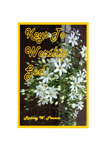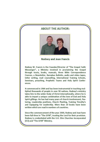#### **ABOUT THE AUTHOR:**



**Rodney and Jean Francis** 

Rodney W. Francis is the Founder/Director of "The Gospel Faith Messenger", a Ministry involved in proclaiming the Gospel through tracts, books, manuals, three Bible Correspondence Courses, a Newsletter, Barnabas Bulletin, audio and video tapes, letter writing, mail counselling, International Training Schools, Seminars, preaching, Prophetic Teams and Holy Spirit Conferences.

It commenced in 1964 and has been instrumental in touching multiplied thousands of people in over 90 nations. Rodney's ministry takes him to the wider Body of Christ internationally, where he is able to impart a unique combination of the love of God and Holy Spirit giftings. He has had many years of church involvement, Pastoring, Leadership positions, Church Planting, Training Timothy's and Equipping for Leadership. More than 20 books have been written which are read in numbers of countries.

Since the commencement of the year 2000, Rodney and Jean have been full-time in "The GFM", trusting the Lord for their provision. Rodney is credentialed with the U.K. Elim Churches Incorporated (ECI) and "The GFM" Ministry.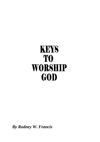# **KEYS TO WORSHIP** GOD

*By Rodney W. Francis*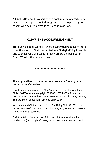All Rights Reserved: No part of this book may be altered in any way. It may be photocopied for group use to help strengthen others who desire to grow in the Kingdom of God.

#### **COPYRIGHT ACKNOWLEDGMENT**

This book is dedicated to all who sincerely desire to learn more from the Word of God in order to live a God-glorifying life-style, and to those who will use it to teach others the positives of God's Word in the here and now.

\*\*\*\*\*\*\*\*\*\*\*\*\*\*\*\*\*\*\*\*\*

The Scriptural basis of these studies is taken from The King James Version (KJV) of the Bible.

Scripture quotations marked (AMP) are taken from The Amplified Bible. Old Testament copyright © 1965, 1987 by The Zondervan Corporation. The Amplified New Testament copyright 1958, 1987 by The Lockman Foundation. Used by permission.

Verses marked (TLB) are taken from The Living Bible © 1971. Used by permission of Tyndale House Publishers, Inc., Wheaton, IL 60189, U.S.A. All rights reserved.

Scripture taken from the Holy Bible, New International Version marked (NIV). Copyright © 1973, 1978, 1984 by International Bible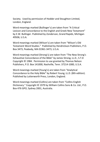Society. Used by permission of Hodder and Stoughton Limited, London, England.

Word meanings marked (Bullinger's) are taken from "A Critical Lexicon and Concordance to the English and Greek New Testament" by E.W. Bullinger. Published by Zondervan, Grand Rapids, Michigan 49506, U.S.A.

Word meanings marked (Wilson's) are taken from "Wilson's Old Testament Word Studies." Published by Hendrickson Publishers, P.O. Box 3473, Peabody, MA 01961-3473, U.S.A.

Word meanings marked (Strong's) are taken from "The New Strong's Exhaustive Concordance of the Bible" by James Strong, LL.D., S.T.D Copyright © 1984. Permission to use granted by Thomas Nelson Publishers, P.O. Box 141000, Nashville, Tenn. 37214-1000, U.S.A.

Word meanings marked (Young's) are taken from "Analytical Concordance to the Holy Bible" by Robert Young, LL.D. (8th edition). Published by Lutterworth Press, London, England.

Word meanings marked (Collins) are taken from "Collins English Dictionary." Copyright © 1979 by William Collins Sons & Co. Ltd., P.O. Box 476 GPO, Sydney 2001, Australia.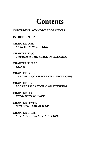## **Contents**

#### **COPYRIGHT ACKNOWLEDGEMENTS**

#### **INTRODUCTION**

**CHAPTER ONE** *KEYS TO WORSHIP GOD*

**CHAPTER TWO** *CHURCH IS THE PLACE OF BLESSING*

**CHAPTER THREE** *SAINTS*

**CHAPTER FOUR** *ARE YOU A CONSUMER OR A PRODUCER?*

**CHAPTER FIVE**  *LOCKED UP BY YOUR OWN THINKING*

**CHAPTER SIX** *KNOW WHO YOU ARE*

**CHAPTER SEVEN** *BUILD THE CHURCH UP*

**CHAPTER EIGHT** *LOVING GOD IS LOVING PEOPLE*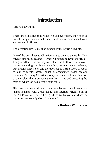### **Introduction**

Life has keys to it.

There are principles that, when we discover them, they help to unlock things for us which then enable us to move ahead with success and fulfilment.

The Christian life is like that, especially the Spirit-filled life.

One of the great keys to Christianity is to believe the truth! You might respond by saying, "Every Christian believes the truth!" I beg to differ. It is so easy to replace the truth of God's Word by our accepting the things we think, we feel, we experience, our circumstances, etc. and thereby reduce it (the Word of God) to a mere mental assent, belief or acceptance, based on our thoughts. So many Christians today have such a low estimation of themselves that it prevents them from rising and accepting the truth of what God has already done for us.

His life-changing truth and power enables us to walk each day "hand in hand" with Jesus the Living, Eternal, Mighty Son of the All-Powerful God. Through these truths you can discover more keys to worship God. Hallelujah!

#### **- Rodney W. Francis**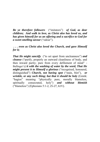*Be ye therefore followers* ("imitators") *of God, as dear children; And walk in love, as Christ also has loved us, and has given himself for us an offering and a sacrifice to God for a sweet smelling savour* ("odour").

*. . . even as Christ also loved the Church, and gave Himself for it;*

*That He might sanctify* ("to set apart from uncleanness") *and cleanse* ("purify, properly an outward cleanliness of body, and then inward purity; pure from every defilement of mind" - Bullinger's) *it with the washing of water by the word, That He might present it to Himself a glorious* ("recognised, honoured, distinguished") *Church, not having spot* ("stain, blot"), *or wrinkle, or any such thing; but that it should be holy* (Greek: "hagios" meaning "physically pure, morally blameless, spiritually consecrated, holy") *and without blemish*  ("blameless") (Ephesians 5:1-2, 25-27, KJV).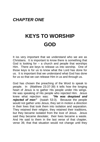#### *CHAPTER ONE*

## **KEYS TO WORSHIP GOD**

It iss very important that we understand who we are as Christians. It is important to know there is something that God is looking for  $-$  a church and people that worships Him. There are keys to release us into worship. One of those keys is for us to know what the Lord has done for us. It is important that we understand what God has done for us so that we can release Him in us and through us.

God has chosen the preaching of the Word to speak to people. In (Matthew 23:37-39) it tells how the longing heart of Jesus is to gather His people under His wings. He was speaking of His people who rejected Him. Jesus knew what rejection was: *"He was despised and rejected of men"* (Isaiah 53:3). Because the people would not gather unto Jesus, they set in motion a direction in their lives that took them into isolation and separation. They retained their religion, they retained their traditions, but they became isolated from the love of Jesus. Jesus said they became desolate; their lives became a waste. And He said to them in the last verse of that chapter, verse 39, that that situation would not change until they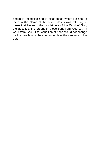began to recognise and to bless those whom He sent to them in the Name of the Lord. Jesus was referring to those that He sent, the proclaimers of the Word of God, the apostles, the prophets, those sent from God with a word from God. That condition of heart would not change for the people until they began to bless the servants of the Lord.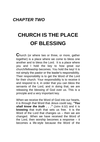#### *CHAPTER TWO*

## **CHURCH IS THE PLACE OF BLESSING**

**C**hurch (or where two or three, or more, gather together) is a place where we come to bless one another and to bless the Lord. It is a place where you and I hold the key to how great our church/fellowship becomes. You hold the key! It is not simply the pastor or the leader's responsibility. Their responsibility is to get the Word of the Lord for their church. Your responsibility is to receive it and respond to it, in order that you can bless the servants of the Lord, and in doing that, we are releasing the blessing of God over us. This is a principle and a very important key.

When we receive the Word of God into our hearts, it is through that Word that Jesus could say*, "You shall know the truth . . ."* (John 8:32) and it is **knowing** that truth that sets us free. It is the Word of the Lord that changes us – then we are changed. When we have received the Word of the Lord, then worship becomes a response – it becomes a life-style because the Word of the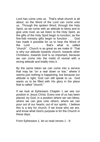Lord has come unto us. That's what church is all about, so the Word of the Lord can come unto us. Through the spoken Word, through the Holy Spirit, as we come with an attitude to bless and to give unto God, as we listen to the Holy Spirit, as the gifts of the Holy Spirit begin to function, as the five-fold ministry gifts begin to function . . . God has made it possible for us to hear the Word of the Lord . . . that's what is called "church". Church is as great as we make it! That is why our attitude towards church, towards other Christians, towards God is so important, because we can come into the midst of revival with a wrong attitude and totally miss it.

By the same token we can come into a service that may be "on a real down or low," where it seems just nothing is happening, but because our attitude is right, God can still speak to us. God wants us to be filled with His glory in the place that is called "church."

If we look at Ephesians Chapter 1 we see our position in Jesus Christ. Every one of us has been placed, by God, in a position where we can bless; where we can give unto others; where we can pour out of our hearts; out of our spirits. I believe this is a key for church, if we know who we are, and know what God's purpose is for the Church in these days.

From Ephesians 1, let us read verses 1 - 9: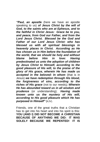*"Paul, an apostle* (here we have an apostle speaking to us) *of Jesus Christ by the will of God, to the saints who are at Ephesus, and to the faithful in Christ Jesus: Grace be to you, and peace, from God our Father, and from the Lord Jesus Christ. Blessed be the God and Father of our Lord Jesus Christ: who has blessed us with all spiritual blessings in heavenly places in Christ. According as He has chosen us in Him before the foundation of the world, that we should be holy and without blame before Him in love: Having predestinated us unto the adoption of children by Jesus Christ to Himself, according to the good pleasure of His will, to the praise of the glory of His grace, wherein He has made us accepted in the beloved: In whom* (that is in Jesus) *we have redemption through His blood, the forgiveness of sins, according to the riches of His grace* (not to our needs)*; Wherein He has abounded toward us in all wisdom and prudence* (or understanding); *Having made known unto us the mystery of His will, according to His good pleasure which He has purposed in Himself"* (KJV).

Friends, one of the great truths that a Christian has to get into his heart and into his spirit is this: **YOU (AND I) DID NOT BECOME A CHRISTIAN BECAUSE OF ANYTHING WE DID: IT WAS SOLELY BECAUSE WE REPENTED! IT IS**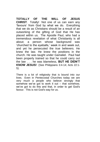**TOTALLY OF THE WILL OF JESUS CHRIST**. Totally! Not one of us can earn any 'favours' from God by what we do. Everything that we do as Christians should be a result of an outworking of the gifting of God that He has placed within us. The Apostle Paul, who had a tremendous revelation of what Christianity is all about; a person whose background was 'churched to the eyeballs,' week in and week out, and yet he persecuted the true believers. He knew the law. He knew the positions in the church. He was taught under Gamaliel. Paul had been properly trained so that he could carry out the law . . . he was blameless, **BUT HE DIDN'T KNOW JESUS!** (See Philippians 3:4-14; Acts 22:1- 5).

There is a lot of religiosity that is bound into our lives. Even in Pentecostal Churches today we are very much a people who believe strongly that somehow we've got to work it out – that somehow, we've got to do this and that, in order to get God's favour. This is not God's way for us.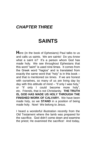### *CHAPTER THREE*

### **SAINTS**

**H**ere (in the book of Ephesians) Paul talks to us and calls us saints. We are saints! Do you know what a saint is? It's a person whom God has made holy. We see throughout Ephesians that this word "saint" is used nine times. It comes from the Greek word "hagios" and is translated from exactly the same word that "holy" is in this book – and that is mentioned six times. If we are honest with ourselves, so many of us are living day by day with this attitude of mind – "if only I was holy," or "if only I could become more holy", etc. Friends, that is not Christianity. **THE TRUTH IS, GOD HAS MADE US HOLY THROUGH THE FINISHED WORK OF CALVARY.** We have been made holy, so we **STAND** in a position of being made holy. Now! We belong to Jesus.

I heard a wonderful illustration recently from the Old Testament where the lamb was prepared for the sacrifice. God didn't come down and examine the priest; He examined the sacrifice! And today,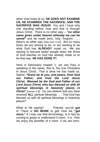when God looks at us, **HE DOES NOT EXAMINE US, HE EXAMINES THE SACRIFICE, AND THE SACRIFICE WAS JESUS!** You and I have only one standing before God and that is through Jesus Christ. There is no other way – *"no other name given under heaven whereby we can be*  **saved**" and be made pure, holy, forgiven . . . there's no other way (See Acts 4:12). But so many times we are striving to be, or are seeking to be what God has **ALREADY** made us. We are striving to become better people when the Word of God teaches us God has already made us to be that way. **HE HAS DONE IT!**

Here in Ephesians chapter 1, we see Paul is speaking to the saints, that is, the true Christians in Jesus Christ. That is what He has made us. Saints! *"Grace be to you, and peace, from God our Father, and from the Lord Jesus Christ. Blessed be the God and Father of our Lord Jesus Christ, who has blessed us with all spiritual blessings in heavenly places in*  **Christ"** (verses 2-3). Do you believe that you have received **ALL** spiritual blessings . . . That God has blessed us with all spiritual blessings in heavenly places?

What is He saying? . . . Friends, you've **got** it! There is **NO MORE** to get! How we **"get more,"** if I may use that terminology, is in fact by coming to grasp or understand it more; it is then we enjoy the benefits of it more. If we are born-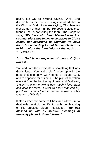again, but we go around saying, "Well, God doesn't bless me," we are living in contradiction to the Word of God. If we are saying, "God blesses that woman or that man but He doesn't bless me," friends, that is not telling the truth. The Scripture says, *"We have ALL been blessed with ALL spiritual blessings in heavenly places in Christ Jesus, not according to anything we have done, but according to that He has chosen us in Him before the foundation of the world . . . "* (Verses 3-4).

*". . . God is no respecter of persons"* (Acts 10:34-35).

You and I are the recipients of something that was God's idea. You and I didn't grow up with the need that somehow we needed to please God, and to appease for our sins. The plan of salvation was set from the beginning of time, and God said, *"I want to show mankind how much I love them and care for them. I want to show mankind My goodness. I want them to be the recipients of My love and of My life."* 

It starts when we come to Christ and allow Him to deal with the sin in our life, through the cleansing of His precious blood. Hallelujah! *"He has blessed us with all spiritual blessings in heavenly places in Christ Jesus."*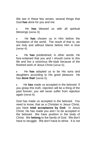We see in these few verses, several things that God **has** done for you and me:

 He **has** blessed us with all spiritual blessings (verse 3);

 He **has** chosen us in Him before the foundation of the world. The result of that is, we are holy and without blame before Him in love (verse 4);

 He **has** predestined, in other words, He fore-ordained that you and I should come to this life and live a victorious life-style because of the finished work of Jesus Christ (verse 5);

 He **has** adopted us to be His sons and daughters according to His good pleasure. He has **done that**! (verse 5);

 He **has** made us accepted in the beloved. If you grasp this truth, rejection will be a thing of the past forever; you will never suffer from rejection again (verse 6).

God has made us accepted in the beloved. You need to know, that as a Christian in Jesus Christ, you have **total acceptance by God**. In Jesus Christ, He has made you and I to be accepted in the beloved. We have position in the body of Christ. We **belong** to the family of God. We don't have to struggle. We don't have to strive. It is not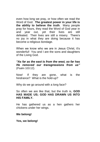even how long we pray, or how often we read the Word of God. **The greatest power in your life is the ability to believe the truth**. Many people pray for hours, they read the Word of God year in and year out, yet their lives are still defeated. Their lives are still a misery. There's no joy in what they are doing because it has become a religious bondage.

When we know who we are in Jesus Christ, it's wonderful! You and I are the sons and daughters of the Living God.

*"As far as the east is from the west, so far has He removed our transgressions from us"*  (Psalm 103:12).

Now! If they are gone, what is the hindrance? What is the hold-up?

Why do we go around with a long face?

So often we are like that, but the truth is, **GOD HAS MADE US; GOD HAS DRAWN US INTO HIS FAMILY.**

He has gathered us as a hen gathers her chickens under her wings.

**We belong!** 

**Yes, we belong!**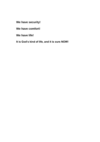**We have security!**

**We have comfort!**

**We have life!**

**It is God's kind of life, and it is ours NOW!**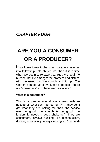### *CHAPTER FOUR*

## **ARE YOU A CONSUMER OR A PRODUCER?**

**I**f we know these truths when we come together into fellowship, into church life, then it is a time when we begin to release that truth. We begin to release that life amongst the brothers and sisters, with the result that the church is built up. The Church is made up of two types of people – there are "consumers" and there are "producers."

#### **What is a consumer?**

This is a person who always comes with an attitude of "what can I get out of it?" If they don't get what they are looking for, then "the service was no good, the church is no good, the leadership needs a good shake-up!" They are consumers, always sucking like bloodsuckers, drawing emotionally, always looking for "the hand-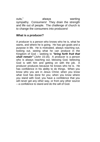outs," always wanting sympathy. Consumers! They drain the strength and life out of people. The challenge of church is to change the consumers into producers!

#### **What is a producer?**

A producer is a person who knows who he is, what he wants, and where he is going. He has got goals and a purpose in life. He is motivated, always reaching out, looking out, seeing what he can produce in the Kingdom of God – seeking to *"bring forth fruit that shall remain"* (John 15:16). A producer is a person who is always reaching out, blessing God, believing God is with him and getting on with the job. A producer produces because he knows who he is. He has confidence in his ability to do things. When you know who you are in Jesus Christ; when you know what God has done for you; when you know where you stand with God; you have a confidence that you will never get any other way, or from any other source – a confidence to stand and do the will of God.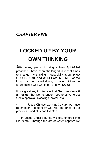### *CHAPTER FIVE*

## **LOCKED UP BY YOUR OWN THINKING**

**A**fter many years of being a Holy Spirit-filled preacher, I have been challenged in recent times to change my thinking – especially about **WHO GOD IS IN ME** and **WHO I AM IN HIM!** For too long I had put myself down, or have put into the future things God wants me to have **NOW!**

It is a great key to discover that **God has done it all for us**; that we no longer need to strive to get God's approval, blessings, power, etc.

 In Jesus Christ's work at Calvary we have redemption – bought by God with the price of the precious blood of Jesus His Son.

 In Jesus Christ's burial, we too, entered into His death. Through the act of water baptism we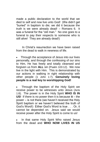made a public declaration to the world that we died to self and now live unto God! (We didn't get "buried" in baptism to die; we did it because the truth is we were already dead! – Romans 6. It was a funeral for the "old man." No one goes to a funeral to pay their respects to someone who is still alive! They are already dead!)

 In Christ's resurrection we have been raised from the dead to walk in newness of life.

 Through the acceptance of Jesus into our lives personally, and through the confessing of our sins to Him, He has freely and totally cleansed and forgiven us from **ALL** sin (Psalm 103:12). We now live in the light with Him. This is demonstrated by our actions in walking in right relationship with other people (1 John 1:7). **Genuinely loving people is a real key to worshipping God!**

 Through the baptism of the Holy Spirit we receive power to be witnesses unto Jesus (Acts 1:8). The power is in the Holy Spirit **WHO IS IN US!** If there is no power then it is because **it** – the power – is not there (we haven't received the Holy Spirit baptism or we haven't believed the truth of God's Word!) Either God's Word is true . . . Or, it cannot be depended on. Jesus said we would receive power after the Holy Spirit is come to us!

 In that same Holy Spirit Who raised Jesus from the dead and **WHO NOW LIVES IN US**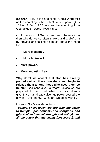(Romans 8:11), is the anointing. God's Word tells us the anointing is the Holy Spirit and power (Acts 10:38). 1 John 2:27 tells us the anointing from God abides ("dwells, lives") in us!

• If the Word of God is true (and I believe it is) then why do we so often show our disbelief of it by praying and talking so much about the need for:

- **More blessing?**
- **More holiness?**
- **More power?**
- **More anointing? etc.**

**Why don't we accept that God has already poured out all these blessings and begin to release them among those who need them so much?** God can't give us "more" unless we are prepared to pour out what He has already given! He has already given us power over all the power of the enemy. What are we doing with it?

Listen to God's wonderful truth:

*"Behold, I have given you authority and power to trample upon serpents and scorpions, and (physical and mental strength and ability) over all the power that the enemy [possesses], and*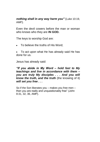#### *nothing shall in any way harm you"* (Luke 10:19, AMP).

Even the devil cowers before the man or woman who knows who they are **IN GOD.**

The keys to worship God are:

• To believe the truths of His Word:

 To act upon what He has already said He has done for us.

Jesus has already said:

*"If you abide in My Word – hold fast to My teachings and live in accordance with them – you are truly My disciples . . . And you will know the truth, and the truth* (the knowing of it) *will set you free . . .* 

So if the Son liberates you – makes you free men – then you are really and unquestionably free" (John 8:31, 32, 36, AMP).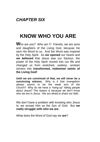## **KNOW WHO YOU ARE**

**W**ho are you? Who am I? Friends, we are sons and daughters of the Living God, because He sent His Word to us. And the Word was inspired by the Holy Spirit. As **we opened** our hearts and **we believed** that Jesus was our Saviour, the power of the Holy Spirit moved into our life and changed us from wretched, useless, unclean sinners into **transformed, redeemed saints of the Living God!**

**Until we are convinced of that, we will never be a convincing witness**. Why is it that evangelism always seems to be the weak arm of the Church? Why do we have a "hang-up" telling people about Jesus? The reason is because we don't know who we are in Jesus. We are afraid to share our faith.

We don't have a problem with knowing who Jesus is; we accept Him as the Son of God. But **we really struggle with who we are**.

What does the Word of God say we **are**?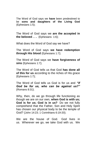The Word of God says we **have** been predestined to be **sons and daughters of the Living God**  (Ephesians 1:5);

The Word of God says we **are the accepted in the beloved . . .** (Ephesians 1:6);

What does the Word of God say we have?

The Word of God says **we have redemption through His blood** (Ephesians 1:7);

The Word of God says we **have forgiveness of sins** (Ephesians 1:7);

The Word of God tells us that God **has done all of this for us** according to the riches of His grace (Ephesians 1:7);

The Word of God tells us God is for us and *"if God be for us, who can be against us?"* (Romans 8:31).

Why, then, do we go through life functioning as though we are on our own, **when God is with us; God is for us; God is in us?** Do we not fully comprehend that the Father, Son and Holy Spirit has chosen our physical body to be the temple of God? (John 14:23; 1 Corinthians 6:19-20).

We are the house of God. God lives in us. Wherever we go, we take God with us. We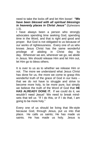need to take the locks off and let Him loose! *"We have been blessed with all spiritual blessings in heavenly places in Christ Jesus"* (Ephesians 1:3).

I have always been a person who strongly advocates spending time seeking God, spending time in the Word, and that is right and good and proper. But God is not obligated to us because of our works of righteousness. Every one of us who knows Jesus Christ has the same wonderful privilege of abiding in Christ day by day. Wherever we are, wherever we go, we abide in Jesus. We should release Him and let Him out, let Him go to bless others.

It is over to us as to whether we release Him or not. The more we understand what Jesus Christ has done for us, the more we come to grasp this wonderful truth of the grace of God in our lives – that we do not have to struggle and strive to become more holy, to be more pure, but simply we believe the truth of the Word of God that **HE HAS ALREADY DONE IT.** If we could do it, we wouldn't need Jesus! We need to break mindsets that tell us "If I do this, or if I do that, I am going to be more holy."

Every one of us should be living that life-style because God, through Jesus, put us into that place. He calls us saints; He has made us saints. He has made us holy. Jesus is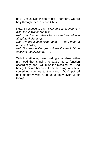holy. Jesus lives inside of us! Therefore, we are holy through faith in Jesus Christ.

Now, if I choose to say, *"Well, this all sounds very nice, this is wonderful, but! . . .* 

*No! I don't accept that I have been blessed with all spiritual blessings;*

*No! I'm not experiencing them . . . so I need to press in harder;*

*No! But maybe five years down the track I'll be enjoying the blessings!" . . .* 

With this attitude, I am building a mind-set within my head that is going to cause me to function accordingly, and I will miss the blessing that God has got for me because I am choosing to believe something contrary to the Word. Don't put off until tomorrow what God has already given us for today!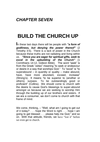### *CHAPTER SEVEN*

## **BUILD THE CHURCH UP**

**I**n these last days there will be people with *"a form of godliness, but denying the power thereof"* (2 Timothy 3:5). There is a lack of power in the Church because these truths are not radiating and living within us. *"Since you are eager for spiritual gifts, seek to excel in the upbuilding of the Church"* (1 Corinthians 14:12, Gideon Bible). The word "seek" is from the Greek "zeteo" meaning "to seek or endeavour or desire in a way that worships God." To "excel" is "to superabound  $-$  in quantity or quality  $-$  make abound. have, have more abundant, exceed, increase" (Strong's). It means "to be superior to (another or others); surpass. To be outstandingly good or proficient" (Collins). We should come to church with the desire to cause God's blessings to super-abound amongst us because we are seeking to worship Him through the building up of our brothers and sisters. If we are a consumer, we don't come to church with that frame of mind.

We come, thinking,  $-$  "Well, what am I going to get out of it today? . . . hope the Word is right . . . hope I am going to get blessed . . . please help me God," and so on. With that attitude, friends, we have "lost it" before we even get to church.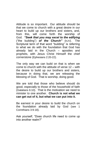Attitude is so important. Our attitude should be that we come to church with a great desire in our heart to build up our brothers and sisters, and, from this, will come forth the worship of God. *"Seek that you may excel to the edifying*  ("the building") *of the Church"* (KJV). The Scriptural term of that word "building" is referring to what we do with the foundation that God has already laid in the Church – apostles and prophets, with Jesus Christ Himself the chief cornerstone (Ephesians 2:20-22).

The only way we can build on that is when we come to church with the attitude of verse 12 – with the desire to build up our brothers and sisters, because in doing that, we are releasing the blessing of God. That is worship, doing good.

We are told that those who believe should do good, especially to those of the household of faith (Galatians 6:10). That is the motivation we need to minister to one another. **Church is not what we can get out of it, but what we can put into it.**

Be earnest in your desire to build the church on the foundation already laid by God (see 1 Corinthians 3:9-18).

Ask yourself, "Does church life need to come up into another realm?"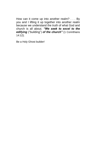How can it come up into another realm? . . . By you and I lifting it up together into another realm because we understand the truth of what God and church is all about. *"We seek to excel to the edifying* ("building") *of the church"* (1 Corinthians 14:12).

Be a Holy Ghost builder!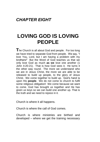### *CHAPTER EIGHT*

## **LOVING GOD IS LOVING PEOPLE**

**T**he Church is all about God and people. For too long we have tried to separate God from people. We say, "I love You, Lord, but I am having a problem with my brothers!" But the Word of God teaches us that we only love God as much **as we** love one another (1 John 4:20-21). That is how God sees it. He turns it the other way round. The more we understand who we are in Jesus Christ, the more we are able to be released to build up people, to the glory of Jesus Christ. We come together to build up. God's hand is upon His **people**. We do not come to church to fulfil some religious obligation! We come because we want to come. God has brought us together and He has given us keys so we can build one another up. That is the truth and we need to rejoice in it.

Church is where it all happens.

Church is where the call of God comes.

Church is where ministries are birthed and developed – where we get the training necessary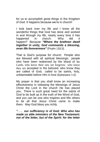for us to accomplish great things in the Kingdom of God. It happens because we're in church!

I look back over my life and I know all the wonderful things that God has done and worked in and through my life, nearly every time it has happened in church. Why did it happen? Because *"Where the brethren dwell together in unity, God commands a blessing, even life forevermore"* (Psalm 133:3).

That is God's purpose for church. People who are blessed with all spiritual blessings; people who have been redeemed by the blood of the Lamb, who know their sins are forgiven; who know they are accepted in the beloved; who know they are called of God; called to be saints, holy, unblameable before Him in love (Ephesians 1:4).

My prayer is that you shall know an increasing effectiveness in releasing the blessings of Jesus Christ the Lord in the church He has placed you. There is such great need for the saints of God to be built up in the truth of the Word of God, and you can be one who inspires and lifts others to be all that Jesus Christ came to make them. May God bless you richly.

*". . . our sufficiency is of God; Who also has made us able ministers of the New Testament; not of the letter, but of the Spirit: for the letter*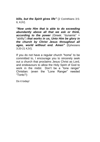*kills, but the Spirit gives life"* (2 Corinthians 3:5- 6, KJV).

*"Now unto Him that is able to do exceeding abundantly above all that we ask or think, according to the power* (Greek: "dunamis" = "ability") *that works in us, Unto Him be glory in the church by Christ Jesus throughout all ages, world without end. Amen"* (Ephesians 3:20-21 KJV).

If you do not have a regular church "home" to be committed to, I encourage you to sincerely seek out a church that proclaims Jesus Christ as Lord, and endeavours to allow the Holy Spirit of God to work in the midst. Don't be a "lone ranger" Christian: (even the "Lone Ranger" needed "Tonto"!)

Do it today!